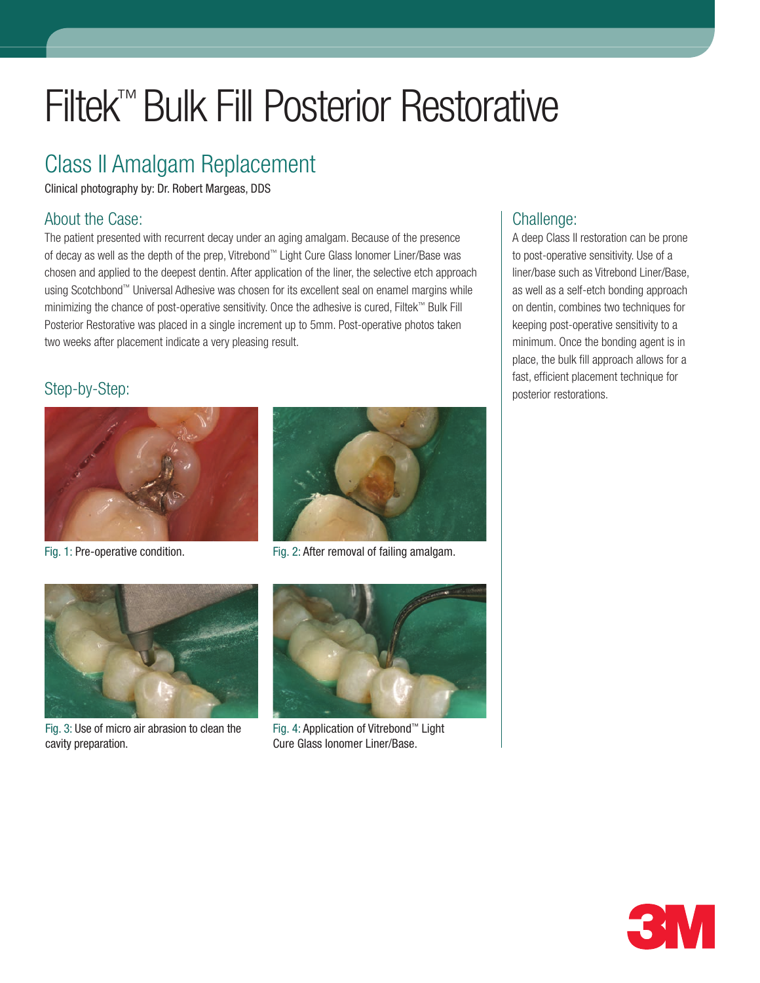# Filtek™ Bulk Fill Posterior Restorative

## Class II Amalgam Replacement

Clinical photography by: Dr. Robert Margeas, DDS

#### About the Case:

The patient presented with recurrent decay under an aging amalgam. Because of the presence of decay as well as the depth of the prep, Vitrebond™ Light Cure Glass Ionomer Liner/Base was chosen and applied to the deepest dentin. After application of the liner, the selective etch approach using Scotchbond™ Universal Adhesive was chosen for its excellent seal on enamel margins while minimizing the chance of post-operative sensitivity. Once the adhesive is cured, Filtek™ Bulk Fill Posterior Restorative was placed in a single increment up to 5mm. Post-operative photos taken two weeks after placement indicate a very pleasing result.

### Step-by-Step:





Fig. 1: Pre-operative condition. Fig. 2: After removal of failing amalgam.



Fig. 3: Use of micro air abrasion to clean the cavity preparation.



Fig. 4: Application of Vitrebond™ Light Cure Glass Ionomer Liner/Base.

### Challenge:

A deep Class II restoration can be prone to post-operative sensitivity. Use of a liner/base such as Vitrebond Liner/Base, as well as a self-etch bonding approach on dentin, combines two techniques for keeping post-operative sensitivity to a minimum. Once the bonding agent is in place, the bulk fill approach allows for a fast, efficient placement technique for posterior restorations.